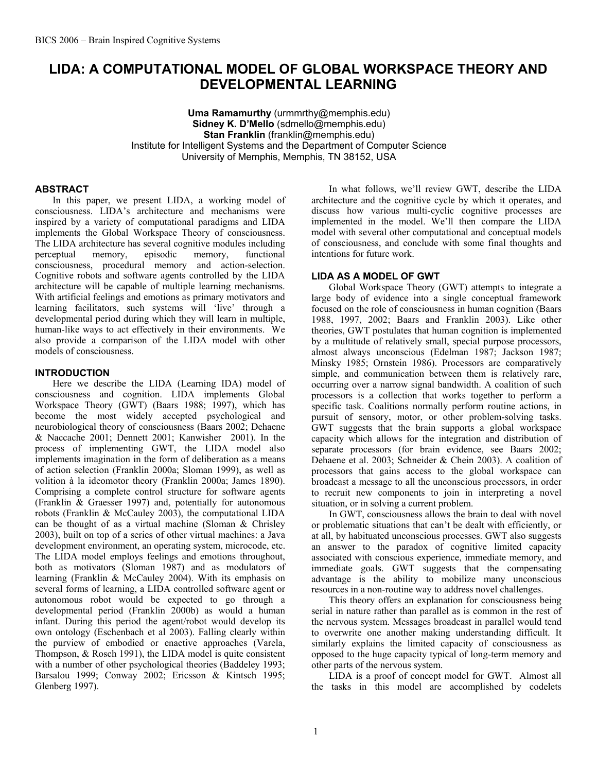# **LIDA: A COMPUTATIONAL MODEL OF GLOBAL WORKSPACE THEORY AND DEVELOPMENTAL LEARNING**

**Uma Ramamurthy** (urmmrthy@memphis.edu) **Sidney K. D'Mello** (sdmello@memphis.edu) **Stan Franklin** (franklin@memphis.edu) Institute for Intelligent Systems and the Department of Computer Science University of Memphis, Memphis, TN 38152, USA

### **ABSTRACT**

In this paper, we present LIDA, a working model of consciousness. LIDA's architecture and mechanisms were inspired by a variety of computational paradigms and LIDA implements the Global Workspace Theory of consciousness. The LIDA architecture has several cognitive modules including perceptual memory, episodic memory, functional consciousness, procedural memory and action-selection. Cognitive robots and software agents controlled by the LIDA architecture will be capable of multiple learning mechanisms. With artificial feelings and emotions as primary motivators and learning facilitators, such systems will 'live' through a developmental period during which they will learn in multiple, human-like ways to act effectively in their environments. We also provide a comparison of the LIDA model with other models of consciousness.

### **INTRODUCTION**

Here we describe the LIDA (Learning IDA) model of consciousness and cognition. LIDA implements Global Workspace Theory (GWT) (Baars 1988; 1997), which has become the most widely accepted psychological and neurobiological theory of consciousness (Baars 2002; Dehaene & Naccache 2001; Dennett 2001; Kanwisher 2001). In the process of implementing GWT, the LIDA model also implements imagination in the form of deliberation as a means of action selection (Franklin 2000a; Sloman 1999), as well as volition à la ideomotor theory (Franklin 2000a; James 1890). Comprising a complete control structure for software agents (Franklin & Graesser 1997) and, potentially for autonomous robots (Franklin & McCauley 2003), the computational LIDA can be thought of as a virtual machine (Sloman & Chrisley 2003), built on top of a series of other virtual machines: a Java development environment, an operating system, microcode, etc. The LIDA model employs feelings and emotions throughout, both as motivators (Sloman 1987) and as modulators of learning (Franklin & McCauley 2004). With its emphasis on several forms of learning, a LIDA controlled software agent or autonomous robot would be expected to go through a developmental period (Franklin 2000b) as would a human infant. During this period the agent/robot would develop its own ontology (Eschenbach et al 2003). Falling clearly within the purview of embodied or enactive approaches (Varela, Thompson, & Rosch 1991), the LIDA model is quite consistent with a number of other psychological theories (Baddeley 1993; Barsalou 1999; Conway 2002; Ericsson & Kintsch 1995; Glenberg 1997).

In what follows, we'll review GWT, describe the LIDA architecture and the cognitive cycle by which it operates, and discuss how various multi-cyclic cognitive processes are implemented in the model. We'll then compare the LIDA model with several other computational and conceptual models of consciousness, and conclude with some final thoughts and intentions for future work.

### **LIDA AS A MODEL OF GWT**

Global Workspace Theory (GWT) attempts to integrate a large body of evidence into a single conceptual framework focused on the role of consciousness in human cognition (Baars 1988, 1997, 2002; Baars and Franklin 2003). Like other theories, GWT postulates that human cognition is implemented by a multitude of relatively small, special purpose processors, almost always unconscious (Edelman 1987; Jackson 1987; Minsky 1985; Ornstein 1986). Processors are comparatively simple, and communication between them is relatively rare, occurring over a narrow signal bandwidth. A coalition of such processors is a collection that works together to perform a specific task. Coalitions normally perform routine actions, in pursuit of sensory, motor, or other problem-solving tasks. GWT suggests that the brain supports a global workspace capacity which allows for the integration and distribution of separate processors (for brain evidence, see Baars 2002; Dehaene et al. 2003; Schneider & Chein 2003). A coalition of processors that gains access to the global workspace can broadcast a message to all the unconscious processors, in order to recruit new components to join in interpreting a novel situation, or in solving a current problem.

In GWT, consciousness allows the brain to deal with novel or problematic situations that can't be dealt with efficiently, or at all, by habituated unconscious processes. GWT also suggests an answer to the paradox of cognitive limited capacity associated with conscious experience, immediate memory, and immediate goals. GWT suggests that the compensating advantage is the ability to mobilize many unconscious resources in a non-routine way to address novel challenges.

This theory offers an explanation for consciousness being serial in nature rather than parallel as is common in the rest of the nervous system. Messages broadcast in parallel would tend to overwrite one another making understanding difficult. It similarly explains the limited capacity of consciousness as opposed to the huge capacity typical of long-term memory and other parts of the nervous system.

LIDA is a proof of concept model for GWT. Almost all the tasks in this model are accomplished by codelets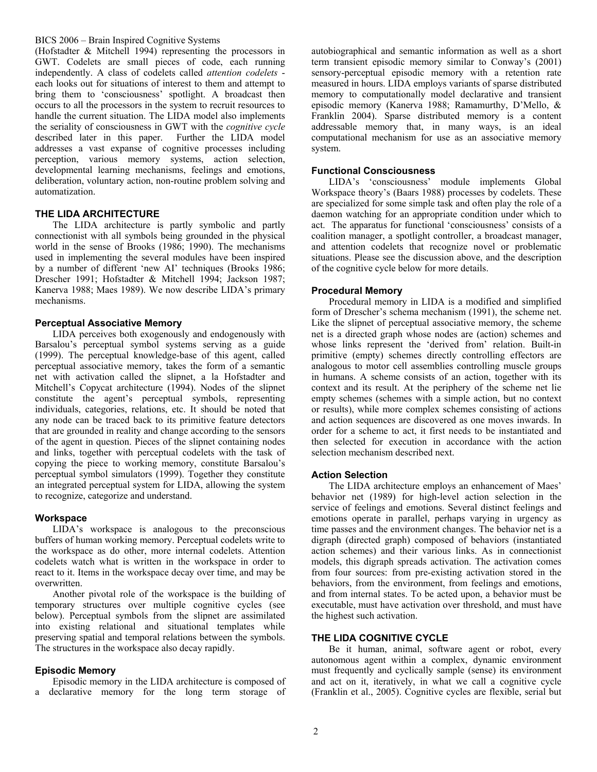(Hofstadter & Mitchell 1994) representing the processors in GWT. Codelets are small pieces of code, each running independently. A class of codelets called *attention codelets* each looks out for situations of interest to them and attempt to bring them to 'consciousness' spotlight. A broadcast then occurs to all the processors in the system to recruit resources to handle the current situation. The LIDA model also implements the seriality of consciousness in GWT with the *cognitive cycle*  described later in this paper. Further the LIDA model addresses a vast expanse of cognitive processes including perception, various memory systems, action selection, developmental learning mechanisms, feelings and emotions, deliberation, voluntary action, non-routine problem solving and automatization.

### **THE LIDA ARCHITECTURE**

The LIDA architecture is partly symbolic and partly connectionist with all symbols being grounded in the physical world in the sense of Brooks (1986; 1990). The mechanisms used in implementing the several modules have been inspired by a number of different 'new AI' techniques (Brooks 1986; Drescher 1991; Hofstadter & Mitchell 1994; Jackson 1987; Kanerva 1988; Maes 1989). We now describe LIDA's primary mechanisms.

#### **Perceptual Associative Memory**

LIDA perceives both exogenously and endogenously with Barsalou's perceptual symbol systems serving as a guide (1999). The perceptual knowledge-base of this agent, called perceptual associative memory, takes the form of a semantic net with activation called the slipnet, a la Hofstadter and Mitchell's Copycat architecture (1994). Nodes of the slipnet constitute the agent's perceptual symbols, representing individuals, categories, relations, etc. It should be noted that any node can be traced back to its primitive feature detectors that are grounded in reality and change according to the sensors of the agent in question. Pieces of the slipnet containing nodes and links, together with perceptual codelets with the task of copying the piece to working memory, constitute Barsalou's perceptual symbol simulators (1999). Together they constitute an integrated perceptual system for LIDA, allowing the system to recognize, categorize and understand.

#### **Workspace**

LIDA's workspace is analogous to the preconscious buffers of human working memory. Perceptual codelets write to the workspace as do other, more internal codelets. Attention codelets watch what is written in the workspace in order to react to it. Items in the workspace decay over time, and may be overwritten.

Another pivotal role of the workspace is the building of temporary structures over multiple cognitive cycles (see below). Perceptual symbols from the slipnet are assimilated into existing relational and situational templates while preserving spatial and temporal relations between the symbols. The structures in the workspace also decay rapidly.

### **Episodic Memory**

Episodic memory in the LIDA architecture is composed of a declarative memory for the long term storage of autobiographical and semantic information as well as a short term transient episodic memory similar to Conway's (2001) sensory-perceptual episodic memory with a retention rate measured in hours. LIDA employs variants of sparse distributed memory to computationally model declarative and transient episodic memory (Kanerva 1988; Ramamurthy, D'Mello, & Franklin 2004). Sparse distributed memory is a content addressable memory that, in many ways, is an ideal computational mechanism for use as an associative memory system.

### **Functional Consciousness**

LIDA's 'consciousness' module implements Global Workspace theory's (Baars 1988) processes by codelets. These are specialized for some simple task and often play the role of a daemon watching for an appropriate condition under which to act. The apparatus for functional 'consciousness' consists of a coalition manager, a spotlight controller, a broadcast manager, and attention codelets that recognize novel or problematic situations. Please see the discussion above, and the description of the cognitive cycle below for more details.

### **Procedural Memory**

Procedural memory in LIDA is a modified and simplified form of Drescher's schema mechanism (1991), the scheme net. Like the slipnet of perceptual associative memory, the scheme net is a directed graph whose nodes are (action) schemes and whose links represent the 'derived from' relation. Built-in primitive (empty) schemes directly controlling effectors are analogous to motor cell assemblies controlling muscle groups in humans. A scheme consists of an action, together with its context and its result. At the periphery of the scheme net lie empty schemes (schemes with a simple action, but no context or results), while more complex schemes consisting of actions and action sequences are discovered as one moves inwards. In order for a scheme to act, it first needs to be instantiated and then selected for execution in accordance with the action selection mechanism described next.

#### **Action Selection**

The LIDA architecture employs an enhancement of Maes' behavior net (1989) for high-level action selection in the service of feelings and emotions. Several distinct feelings and emotions operate in parallel, perhaps varying in urgency as time passes and the environment changes. The behavior net is a digraph (directed graph) composed of behaviors (instantiated action schemes) and their various links. As in connectionist models, this digraph spreads activation. The activation comes from four sources: from pre-existing activation stored in the behaviors, from the environment, from feelings and emotions, and from internal states. To be acted upon, a behavior must be executable, must have activation over threshold, and must have the highest such activation.

# **THE LIDA COGNITIVE CYCLE**

Be it human, animal, software agent or robot, every autonomous agent within a complex, dynamic environment must frequently and cyclically sample (sense) its environment and act on it, iteratively, in what we call a cognitive cycle (Franklin et al., 2005). Cognitive cycles are flexible, serial but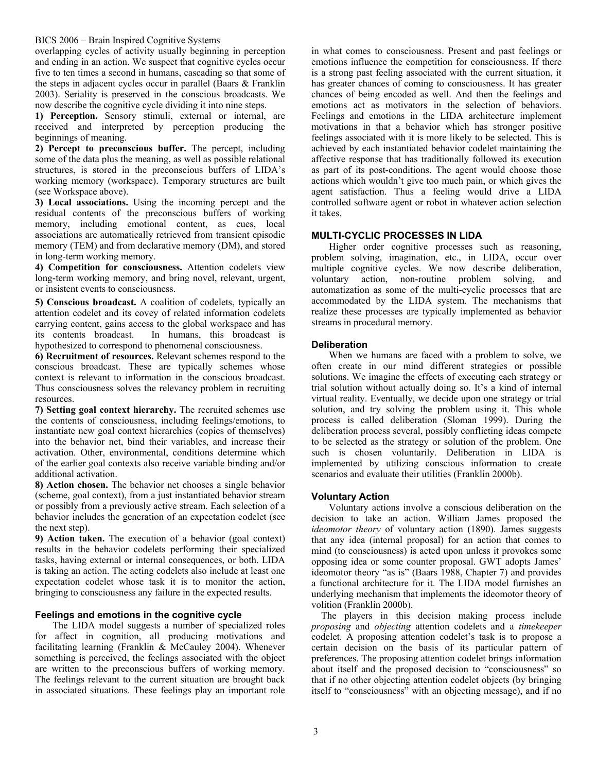overlapping cycles of activity usually beginning in perception and ending in an action. We suspect that cognitive cycles occur five to ten times a second in humans, cascading so that some of the steps in adjacent cycles occur in parallel (Baars & Franklin 2003). Seriality is preserved in the conscious broadcasts. We now describe the cognitive cycle dividing it into nine steps.

**1) Perception.** Sensory stimuli, external or internal, are received and interpreted by perception producing the beginnings of meaning.

**2) Percept to preconscious buffer.** The percept, including some of the data plus the meaning, as well as possible relational structures, is stored in the preconscious buffers of LIDA's working memory (workspace). Temporary structures are built (see Workspace above).

**3) Local associations.** Using the incoming percept and the residual contents of the preconscious buffers of working memory, including emotional content, as cues, local associations are automatically retrieved from transient episodic memory (TEM) and from declarative memory (DM), and stored in long-term working memory.

**4) Competition for consciousness.** Attention codelets view long-term working memory, and bring novel, relevant, urgent, or insistent events to consciousness.

**5) Conscious broadcast.** A coalition of codelets, typically an attention codelet and its covey of related information codelets carrying content, gains access to the global workspace and has its contents broadcast. In humans, this broadcast is hypothesized to correspond to phenomenal consciousness.

**6) Recruitment of resources.** Relevant schemes respond to the conscious broadcast. These are typically schemes whose context is relevant to information in the conscious broadcast. Thus consciousness solves the relevancy problem in recruiting resources.

**7) Setting goal context hierarchy.** The recruited schemes use the contents of consciousness, including feelings/emotions, to instantiate new goal context hierarchies (copies of themselves) into the behavior net, bind their variables, and increase their activation. Other, environmental, conditions determine which of the earlier goal contexts also receive variable binding and/or additional activation.

**8) Action chosen.** The behavior net chooses a single behavior (scheme, goal context), from a just instantiated behavior stream or possibly from a previously active stream. Each selection of a behavior includes the generation of an expectation codelet (see the next step).

**9) Action taken.** The execution of a behavior (goal context) results in the behavior codelets performing their specialized tasks, having external or internal consequences, or both. LIDA is taking an action. The acting codelets also include at least one expectation codelet whose task it is to monitor the action, bringing to consciousness any failure in the expected results.

### **Feelings and emotions in the cognitive cycle**

The LIDA model suggests a number of specialized roles for affect in cognition, all producing motivations and facilitating learning (Franklin & McCauley 2004). Whenever something is perceived, the feelings associated with the object are written to the preconscious buffers of working memory. The feelings relevant to the current situation are brought back in associated situations. These feelings play an important role

in what comes to consciousness. Present and past feelings or emotions influence the competition for consciousness. If there is a strong past feeling associated with the current situation, it has greater chances of coming to consciousness. It has greater chances of being encoded as well. And then the feelings and emotions act as motivators in the selection of behaviors. Feelings and emotions in the LIDA architecture implement motivations in that a behavior which has stronger positive feelings associated with it is more likely to be selected. This is achieved by each instantiated behavior codelet maintaining the affective response that has traditionally followed its execution as part of its post-conditions. The agent would choose those actions which wouldn't give too much pain, or which gives the agent satisfaction. Thus a feeling would drive a LIDA controlled software agent or robot in whatever action selection it takes.

### **MULTI-CYCLIC PROCESSES IN LIDA**

Higher order cognitive processes such as reasoning, problem solving, imagination, etc., in LIDA, occur over multiple cognitive cycles. We now describe deliberation, voluntary action, non-routine problem solving, and action, non-routine problem solving, and automatization as some of the multi-cyclic processes that are accommodated by the LIDA system. The mechanisms that realize these processes are typically implemented as behavior streams in procedural memory.

### **Deliberation**

When we humans are faced with a problem to solve, we often create in our mind different strategies or possible solutions. We imagine the effects of executing each strategy or trial solution without actually doing so. It's a kind of internal virtual reality. Eventually, we decide upon one strategy or trial solution, and try solving the problem using it. This whole process is called deliberation (Sloman 1999). During the deliberation process several, possibly conflicting ideas compete to be selected as the strategy or solution of the problem. One such is chosen voluntarily. Deliberation in LIDA is implemented by utilizing conscious information to create scenarios and evaluate their utilities (Franklin 2000b).

### **Voluntary Action**

Voluntary actions involve a conscious deliberation on the decision to take an action. William James proposed the *ideomotor theory* of voluntary action (1890). James suggests that any idea (internal proposal) for an action that comes to mind (to consciousness) is acted upon unless it provokes some opposing idea or some counter proposal. GWT adopts James' ideomotor theory "as is" (Baars 1988, Chapter 7) and provides a functional architecture for it. The LIDA model furnishes an underlying mechanism that implements the ideomotor theory of volition (Franklin 2000b).

The players in this decision making process include *proposing* and *objecting* attention codelets and a *timekeeper*  codelet. A proposing attention codelet's task is to propose a certain decision on the basis of its particular pattern of preferences. The proposing attention codelet brings information about itself and the proposed decision to "consciousness" so that if no other objecting attention codelet objects (by bringing itself to "consciousness" with an objecting message), and if no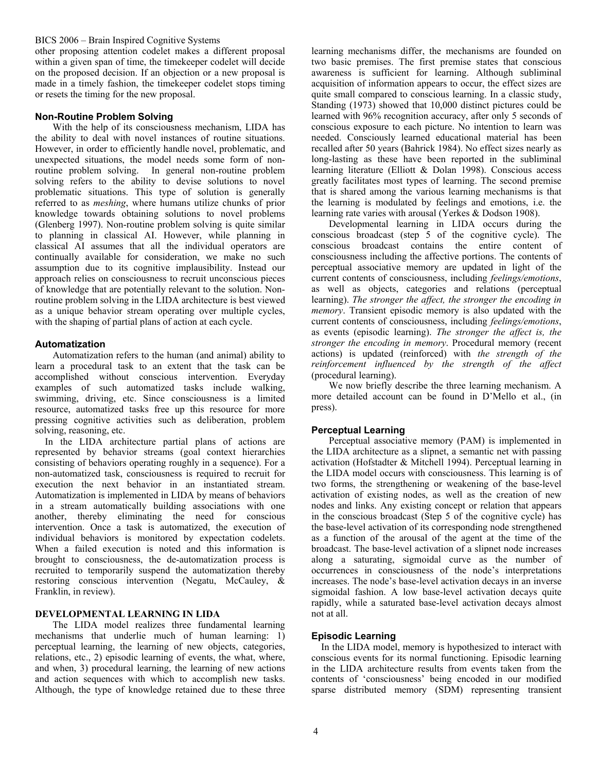other proposing attention codelet makes a different proposal within a given span of time, the timekeeper codelet will decide on the proposed decision. If an objection or a new proposal is made in a timely fashion, the timekeeper codelet stops timing or resets the timing for the new proposal.

#### **Non-Routine Problem Solving**

With the help of its consciousness mechanism, LIDA has the ability to deal with novel instances of routine situations. However, in order to efficiently handle novel, problematic, and unexpected situations, the model needs some form of nonroutine problem solving. In general non-routine problem solving refers to the ability to devise solutions to novel problematic situations. This type of solution is generally referred to as *meshing*, where humans utilize chunks of prior knowledge towards obtaining solutions to novel problems (Glenberg 1997). Non-routine problem solving is quite similar to planning in classical AI. However, while planning in classical AI assumes that all the individual operators are continually available for consideration, we make no such assumption due to its cognitive implausibility. Instead our approach relies on consciousness to recruit unconscious pieces of knowledge that are potentially relevant to the solution. Nonroutine problem solving in the LIDA architecture is best viewed as a unique behavior stream operating over multiple cycles, with the shaping of partial plans of action at each cycle.

#### **Automatization**

Automatization refers to the human (and animal) ability to learn a procedural task to an extent that the task can be accomplished without conscious intervention. Everyday examples of such automatized tasks include walking, swimming, driving, etc. Since consciousness is a limited resource, automatized tasks free up this resource for more pressing cognitive activities such as deliberation, problem solving, reasoning, etc.

In the LIDA architecture partial plans of actions are represented by behavior streams (goal context hierarchies consisting of behaviors operating roughly in a sequence). For a non-automatized task, consciousness is required to recruit for execution the next behavior in an instantiated stream. Automatization is implemented in LIDA by means of behaviors in a stream automatically building associations with one another, thereby eliminating the need for conscious intervention. Once a task is automatized, the execution of individual behaviors is monitored by expectation codelets. When a failed execution is noted and this information is brought to consciousness, the de-automatization process is recruited to temporarily suspend the automatization thereby restoring conscious intervention (Negatu, McCauley, & Franklin, in review).

### **DEVELOPMENTAL LEARNING IN LIDA**

The LIDA model realizes three fundamental learning mechanisms that underlie much of human learning: 1) perceptual learning, the learning of new objects, categories, relations, etc., 2) episodic learning of events, the what, where, and when, 3) procedural learning, the learning of new actions and action sequences with which to accomplish new tasks. Although, the type of knowledge retained due to these three learning mechanisms differ, the mechanisms are founded on two basic premises. The first premise states that conscious awareness is sufficient for learning. Although subliminal acquisition of information appears to occur, the effect sizes are quite small compared to conscious learning. In a classic study, Standing (1973) showed that 10,000 distinct pictures could be learned with 96% recognition accuracy, after only 5 seconds of conscious exposure to each picture. No intention to learn was needed. Consciously learned educational material has been recalled after 50 years (Bahrick 1984). No effect sizes nearly as long-lasting as these have been reported in the subliminal learning literature (Elliott & Dolan 1998). Conscious access greatly facilitates most types of learning. The second premise that is shared among the various learning mechanisms is that the learning is modulated by feelings and emotions, i.e. the learning rate varies with arousal (Yerkes & Dodson 1908).

Developmental learning in LIDA occurs during the conscious broadcast (step 5 of the cognitive cycle). The conscious broadcast contains the entire content of consciousness including the affective portions. The contents of perceptual associative memory are updated in light of the current contents of consciousness, including *feelings/emotions*, as well as objects, categories and relations (perceptual learning). *The stronger the affect, the stronger the encoding in memory*. Transient episodic memory is also updated with the current contents of consciousness, including *feelings/emotions*, as events (episodic learning). *The stronger the affect is, the stronger the encoding in memory*. Procedural memory (recent actions) is updated (reinforced) with *the strength of the reinforcement influenced by the strength of the affect*  (procedural learning).

We now briefly describe the three learning mechanism. A more detailed account can be found in D'Mello et al., (in press).

#### **Perceptual Learning**

Perceptual associative memory (PAM) is implemented in the LIDA architecture as a slipnet, a semantic net with passing activation (Hofstadter & Mitchell 1994). Perceptual learning in the LIDA model occurs with consciousness. This learning is of two forms, the strengthening or weakening of the base-level activation of existing nodes, as well as the creation of new nodes and links. Any existing concept or relation that appears in the conscious broadcast (Step 5 of the cognitive cycle) has the base-level activation of its corresponding node strengthened as a function of the arousal of the agent at the time of the broadcast. The base-level activation of a slipnet node increases along a saturating, sigmoidal curve as the number of occurrences in consciousness of the node's interpretations increases. The node's base-level activation decays in an inverse sigmoidal fashion. A low base-level activation decays quite rapidly, while a saturated base-level activation decays almost not at all.

### **Episodic Learning**

In the LIDA model, memory is hypothesized to interact with conscious events for its normal functioning. Episodic learning in the LIDA architecture results from events taken from the contents of 'consciousness' being encoded in our modified sparse distributed memory (SDM) representing transient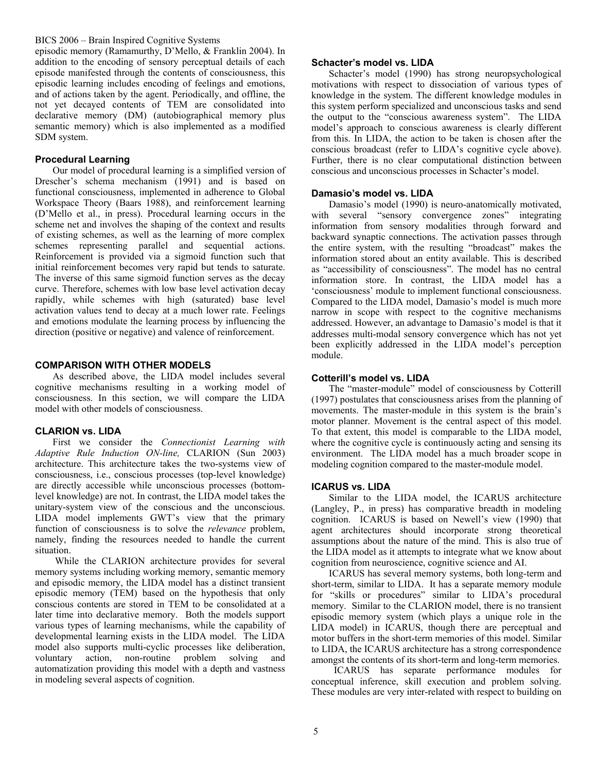episodic memory (Ramamurthy, D'Mello, & Franklin 2004). In addition to the encoding of sensory perceptual details of each episode manifested through the contents of consciousness, this episodic learning includes encoding of feelings and emotions, and of actions taken by the agent. Periodically, and offline, the not yet decayed contents of TEM are consolidated into declarative memory (DM) (autobiographical memory plus semantic memory) which is also implemented as a modified SDM system.

### **Procedural Learning**

Our model of procedural learning is a simplified version of Drescher's schema mechanism (1991) and is based on functional consciousness, implemented in adherence to Global Workspace Theory (Baars 1988), and reinforcement learning (D'Mello et al., in press). Procedural learning occurs in the scheme net and involves the shaping of the context and results of existing schemes, as well as the learning of more complex schemes representing parallel and sequential actions. Reinforcement is provided via a sigmoid function such that initial reinforcement becomes very rapid but tends to saturate. The inverse of this same sigmoid function serves as the decay curve. Therefore, schemes with low base level activation decay rapidly, while schemes with high (saturated) base level activation values tend to decay at a much lower rate. Feelings and emotions modulate the learning process by influencing the direction (positive or negative) and valence of reinforcement.

### **COMPARISON WITH OTHER MODELS**

As described above, the LIDA model includes several cognitive mechanisms resulting in a working model of consciousness. In this section, we will compare the LIDA model with other models of consciousness.

#### **CLARION vs. LIDA**

First we consider the *Connectionist Learning with Adaptive Rule Induction ON-line,* CLARION (Sun 2003) architecture. This architecture takes the two-systems view of consciousness, i.e., conscious processes (top-level knowledge) are directly accessible while unconscious processes (bottomlevel knowledge) are not. In contrast, the LIDA model takes the unitary-system view of the conscious and the unconscious. LIDA model implements GWT's view that the primary function of consciousness is to solve the *relevance* problem, namely, finding the resources needed to handle the current situation.

 While the CLARION architecture provides for several memory systems including working memory, semantic memory and episodic memory, the LIDA model has a distinct transient episodic memory (TEM) based on the hypothesis that only conscious contents are stored in TEM to be consolidated at a later time into declarative memory. Both the models support various types of learning mechanisms, while the capability of developmental learning exists in the LIDA model. The LIDA model also supports multi-cyclic processes like deliberation, voluntary action, non-routine problem solving and automatization providing this model with a depth and vastness in modeling several aspects of cognition.

### **Schacter's model vs. LIDA**

Schacter's model (1990) has strong neuropsychological motivations with respect to dissociation of various types of knowledge in the system. The different knowledge modules in this system perform specialized and unconscious tasks and send the output to the "conscious awareness system". The LIDA model's approach to conscious awareness is clearly different from this. In LIDA, the action to be taken is chosen after the conscious broadcast (refer to LIDA's cognitive cycle above). Further, there is no clear computational distinction between conscious and unconscious processes in Schacter's model.

### **Damasio's model vs. LIDA**

Damasio's model (1990) is neuro-anatomically motivated, with several "sensory convergence zones" integrating information from sensory modalities through forward and backward synaptic connections. The activation passes through the entire system, with the resulting "broadcast" makes the information stored about an entity available. This is described as "accessibility of consciousness". The model has no central information store. In contrast, the LIDA model has a 'consciousness' module to implement functional consciousness. Compared to the LIDA model, Damasio's model is much more narrow in scope with respect to the cognitive mechanisms addressed. However, an advantage to Damasio's model is that it addresses multi-modal sensory convergence which has not yet been explicitly addressed in the LIDA model's perception module.

### **Cotterill's model vs. LIDA**

The "master-module" model of consciousness by Cotterill (1997) postulates that consciousness arises from the planning of movements. The master-module in this system is the brain's motor planner. Movement is the central aspect of this model. To that extent, this model is comparable to the LIDA model, where the cognitive cycle is continuously acting and sensing its environment. The LIDA model has a much broader scope in modeling cognition compared to the master-module model.

#### **ICARUS vs. LIDA**

Similar to the LIDA model, the ICARUS architecture (Langley, P., in press) has comparative breadth in modeling cognition. ICARUS is based on Newell's view (1990) that agent architectures should incorporate strong theoretical assumptions about the nature of the mind. This is also true of the LIDA model as it attempts to integrate what we know about cognition from neuroscience, cognitive science and AI.

ICARUS has several memory systems, both long-term and short-term, similar to LIDA. It has a separate memory module for "skills or procedures" similar to LIDA's procedural memory. Similar to the CLARION model, there is no transient episodic memory system (which plays a unique role in the LIDA model) in ICARUS, though there are perceptual and motor buffers in the short-term memories of this model. Similar to LIDA, the ICARUS architecture has a strong correspondence amongst the contents of its short-term and long-term memories.

 ICARUS has separate performance modules for conceptual inference, skill execution and problem solving. These modules are very inter-related with respect to building on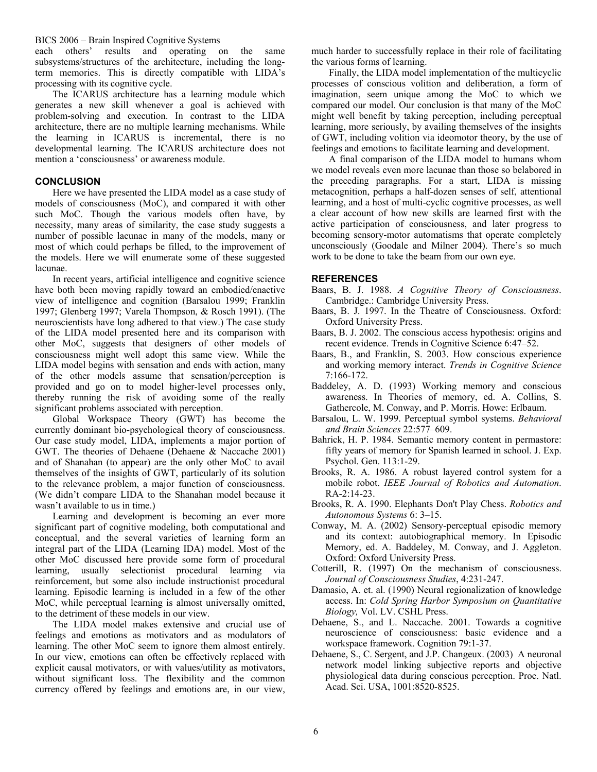each others' results and operating on the same subsystems/structures of the architecture, including the longterm memories. This is directly compatible with LIDA's processing with its cognitive cycle.

The ICARUS architecture has a learning module which generates a new skill whenever a goal is achieved with problem-solving and execution. In contrast to the LIDA architecture, there are no multiple learning mechanisms. While the learning in ICARUS is incremental, there is no developmental learning. The ICARUS architecture does not mention a 'consciousness' or awareness module.

# **CONCLUSION**

Here we have presented the LIDA model as a case study of models of consciousness (MoC), and compared it with other such MoC. Though the various models often have, by necessity, many areas of similarity, the case study suggests a number of possible lacunae in many of the models, many or most of which could perhaps be filled, to the improvement of the models. Here we will enumerate some of these suggested lacunae.

In recent years, artificial intelligence and cognitive science have both been moving rapidly toward an embodied/enactive view of intelligence and cognition (Barsalou 1999; Franklin 1997; Glenberg 1997; Varela Thompson, & Rosch 1991). (The neuroscientists have long adhered to that view.) The case study of the LIDA model presented here and its comparison with other MoC, suggests that designers of other models of consciousness might well adopt this same view. While the LIDA model begins with sensation and ends with action, many of the other models assume that sensation/perception is provided and go on to model higher-level processes only, thereby running the risk of avoiding some of the really significant problems associated with perception.

Global Workspace Theory (GWT) has become the currently dominant bio-psychological theory of consciousness. Our case study model, LIDA, implements a major portion of GWT. The theories of Dehaene (Dehaene & Naccache 2001) and of Shanahan (to appear) are the only other MoC to avail themselves of the insights of GWT, particularly of its solution to the relevance problem, a major function of consciousness. (We didn't compare LIDA to the Shanahan model because it wasn't available to us in time.)

Learning and development is becoming an ever more significant part of cognitive modeling, both computational and conceptual, and the several varieties of learning form an integral part of the LIDA (Learning IDA) model. Most of the other MoC discussed here provide some form of procedural learning, usually selectionist procedural learning via reinforcement, but some also include instructionist procedural learning. Episodic learning is included in a few of the other MoC, while perceptual learning is almost universally omitted, to the detriment of these models in our view.

The LIDA model makes extensive and crucial use of feelings and emotions as motivators and as modulators of learning. The other MoC seem to ignore them almost entirely. In our view, emotions can often be effectively replaced with explicit causal motivators, or with values/utility as motivators, without significant loss. The flexibility and the common currency offered by feelings and emotions are, in our view,

much harder to successfully replace in their role of facilitating the various forms of learning.

Finally, the LIDA model implementation of the multicyclic processes of conscious volition and deliberation, a form of imagination, seem unique among the MoC to which we compared our model. Our conclusion is that many of the MoC might well benefit by taking perception, including perceptual learning, more seriously, by availing themselves of the insights of GWT, including volition via ideomotor theory, by the use of feelings and emotions to facilitate learning and development.

A final comparison of the LIDA model to humans whom we model reveals even more lacunae than those so belabored in the preceding paragraphs. For a start, LIDA is missing metacognition, perhaps a half-dozen senses of self, attentional learning, and a host of multi-cyclic cognitive processes, as well a clear account of how new skills are learned first with the active participation of consciousness, and later progress to becoming sensory-motor automatisms that operate completely unconsciously (Goodale and Milner 2004). There's so much work to be done to take the beam from our own eye.

### **REFERENCES**

- Baars, B. J. 1988. *A Cognitive Theory of Consciousness*. Cambridge.: Cambridge University Press.
- Baars, B. J. 1997. In the Theatre of Consciousness. Oxford: Oxford University Press.
- Baars, B. J. 2002. The conscious access hypothesis: origins and recent evidence. Trends in Cognitive Science 6:47–52.
- Baars, B., and Franklin, S. 2003. How conscious experience and working memory interact. *Trends in Cognitive Science* 7:166-172.
- Baddeley, A. D. (1993) Working memory and conscious awareness. In Theories of memory, ed. A. Collins, S. Gathercole, M. Conway, and P. Morris. Howe: Erlbaum.
- Barsalou, L. W. 1999. Perceptual symbol systems. *Behavioral and Brain Sciences* 22:577–609.
- Bahrick, H. P. 1984. Semantic memory content in permastore: fifty years of memory for Spanish learned in school. J. Exp. Psychol. Gen. 113:1-29.
- Brooks, R. A. 1986. A robust layered control system for a mobile robot. *IEEE Journal of Robotics and Automation*. RA-2:14-23.
- Brooks, R. A. 1990. Elephants Don't Play Chess. *Robotics and Autonomous Systems* 6: 3–15.
- Conway, M. A. (2002) Sensory-perceptual episodic memory and its context: autobiographical memory. In Episodic Memory, ed. A. Baddeley, M. Conway, and J. Aggleton. Oxford: Oxford University Press.
- Cotterill, R. (1997) On the mechanism of consciousness. *Journal of Consciousness Studies*, 4:231-247.
- Damasio, A. et. al. (1990) Neural regionalization of knowledge access. In: *Cold Spring Harbor Symposium on Quantitative Biology,* Vol. LV. CSHL Press.
- Dehaene, S., and L. Naccache. 2001. Towards a cognitive neuroscience of consciousness: basic evidence and a workspace framework. Cognition 79:1-37.
- Dehaene, S., C. Sergent, and J.P. Changeux. (2003) A neuronal network model linking subjective reports and objective physiological data during conscious perception. Proc. Natl. Acad. Sci. USA, 1001:8520-8525.